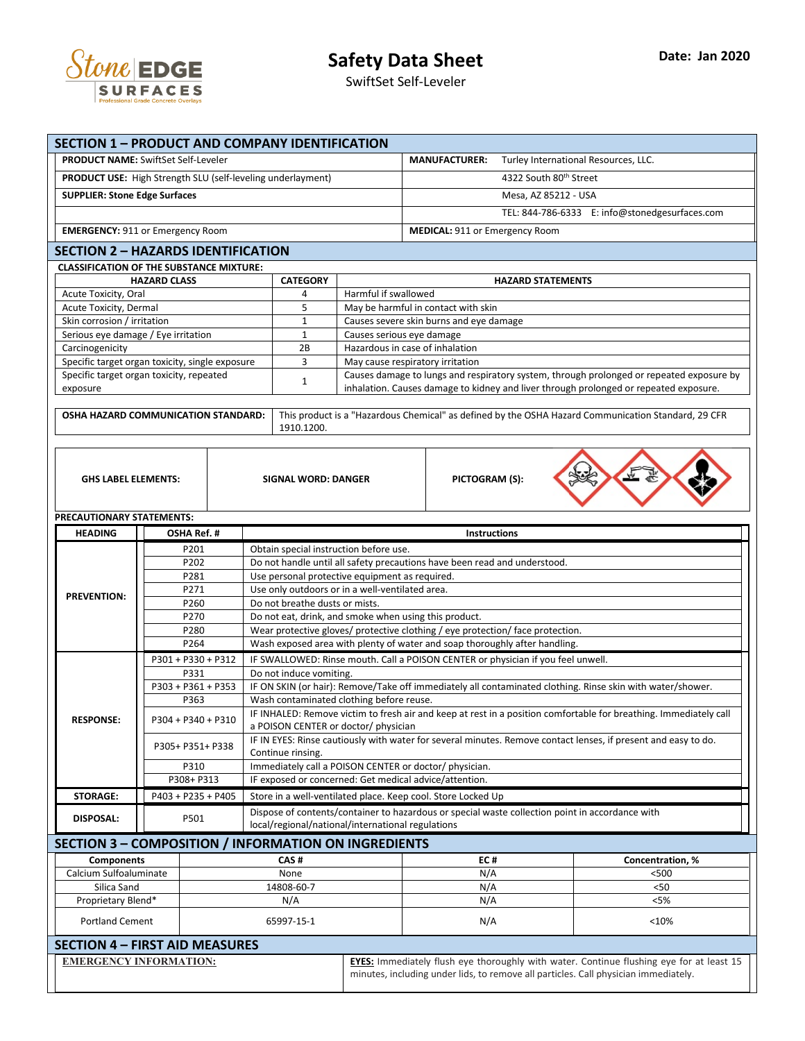

SwiftSet Self-Leveler

| <b>SECTION 1 - PRODUCT AND COMPANY IDENTIFICATION</b>                                     |                                                             |  |                                                                                                                                     |                                                                                          |                                                              |                                                                                                     |  |  |  |
|-------------------------------------------------------------------------------------------|-------------------------------------------------------------|--|-------------------------------------------------------------------------------------------------------------------------------------|------------------------------------------------------------------------------------------|--------------------------------------------------------------|-----------------------------------------------------------------------------------------------------|--|--|--|
|                                                                                           | <b>PRODUCT NAME: SwiftSet Self-Leveler</b>                  |  |                                                                                                                                     | <b>MANUFACTURER:</b>                                                                     | Turley International Resources, LLC.                         |                                                                                                     |  |  |  |
|                                                                                           | PRODUCT USE: High Strength SLU (self-leveling underlayment) |  |                                                                                                                                     |                                                                                          | 4322 South 80th Street                                       |                                                                                                     |  |  |  |
| <b>SUPPLIER: Stone Edge Surfaces</b>                                                      |                                                             |  |                                                                                                                                     |                                                                                          | Mesa, AZ 85212 - USA                                         |                                                                                                     |  |  |  |
|                                                                                           |                                                             |  |                                                                                                                                     |                                                                                          | TEL: 844-786-6333 E: info@stonedgesurfaces.com               |                                                                                                     |  |  |  |
|                                                                                           | <b>EMERGENCY: 911 or Emergency Room</b>                     |  |                                                                                                                                     |                                                                                          | MEDICAL: 911 or Emergency Room                               |                                                                                                     |  |  |  |
|                                                                                           | <b>SECTION 2 - HAZARDS IDENTIFICATION</b>                   |  |                                                                                                                                     |                                                                                          |                                                              |                                                                                                     |  |  |  |
|                                                                                           |                                                             |  |                                                                                                                                     |                                                                                          |                                                              |                                                                                                     |  |  |  |
| <b>CLASSIFICATION OF THE SUBSTANCE MIXTURE:</b><br><b>HAZARD CLASS</b><br><b>CATEGORY</b> |                                                             |  |                                                                                                                                     |                                                                                          |                                                              | <b>HAZARD STATEMENTS</b>                                                                            |  |  |  |
| Acute Toxicity, Oral                                                                      |                                                             |  | 4                                                                                                                                   | Harmful if swallowed                                                                     |                                                              |                                                                                                     |  |  |  |
| Acute Toxicity, Dermal                                                                    |                                                             |  | 5                                                                                                                                   | May be harmful in contact with skin                                                      |                                                              |                                                                                                     |  |  |  |
| Skin corrosion / irritation                                                               |                                                             |  | $\mathbf{1}$                                                                                                                        | Causes severe skin burns and eye damage                                                  |                                                              |                                                                                                     |  |  |  |
| Serious eye damage / Eye irritation<br>Carcinogenicity                                    |                                                             |  | $\mathbf{1}$<br>2B                                                                                                                  | Causes serious eye damage<br>Hazardous in case of inhalation                             |                                                              |                                                                                                     |  |  |  |
|                                                                                           | Specific target organ toxicity, single exposure             |  | 3                                                                                                                                   | May cause respiratory irritation                                                         |                                                              |                                                                                                     |  |  |  |
|                                                                                           | Specific target organ toxicity, repeated                    |  | $\mathbf{1}$                                                                                                                        | Causes damage to lungs and respiratory system, through prolonged or repeated exposure by |                                                              |                                                                                                     |  |  |  |
| exposure                                                                                  |                                                             |  |                                                                                                                                     | inhalation. Causes damage to kidney and liver through prolonged or repeated exposure.    |                                                              |                                                                                                     |  |  |  |
|                                                                                           | <b>OSHA HAZARD COMMUNICATION STANDARD:</b>                  |  |                                                                                                                                     |                                                                                          |                                                              | This product is a "Hazardous Chemical" as defined by the OSHA Hazard Communication Standard, 29 CFR |  |  |  |
|                                                                                           |                                                             |  | 1910.1200.                                                                                                                          |                                                                                          |                                                              |                                                                                                     |  |  |  |
|                                                                                           |                                                             |  |                                                                                                                                     |                                                                                          |                                                              |                                                                                                     |  |  |  |
|                                                                                           |                                                             |  |                                                                                                                                     |                                                                                          |                                                              |                                                                                                     |  |  |  |
| <b>GHS LABEL ELEMENTS:</b>                                                                |                                                             |  | <b>SIGNAL WORD: DANGER</b>                                                                                                          |                                                                                          | PICTOGRAM (S):                                               |                                                                                                     |  |  |  |
|                                                                                           |                                                             |  |                                                                                                                                     |                                                                                          |                                                              |                                                                                                     |  |  |  |
|                                                                                           |                                                             |  |                                                                                                                                     |                                                                                          |                                                              |                                                                                                     |  |  |  |
| PRECAUTIONARY STATEMENTS:                                                                 |                                                             |  |                                                                                                                                     |                                                                                          |                                                              |                                                                                                     |  |  |  |
| <b>HEADING</b>                                                                            | OSHA Ref. #                                                 |  |                                                                                                                                     |                                                                                          | Instructions                                                 |                                                                                                     |  |  |  |
|                                                                                           | P201                                                        |  | Obtain special instruction before use.                                                                                              |                                                                                          |                                                              |                                                                                                     |  |  |  |
|                                                                                           | P202<br>P281                                                |  | Do not handle until all safety precautions have been read and understood.<br>Use personal protective equipment as required.         |                                                                                          |                                                              |                                                                                                     |  |  |  |
|                                                                                           | P271                                                        |  | Use only outdoors or in a well-ventilated area.                                                                                     |                                                                                          |                                                              |                                                                                                     |  |  |  |
| <b>PREVENTION:</b>                                                                        | P260                                                        |  | Do not breathe dusts or mists.                                                                                                      |                                                                                          |                                                              |                                                                                                     |  |  |  |
|                                                                                           | P270                                                        |  | Do not eat, drink, and smoke when using this product.                                                                               |                                                                                          |                                                              |                                                                                                     |  |  |  |
|                                                                                           | P280                                                        |  | Wear protective gloves/ protective clothing / eye protection/ face protection.                                                      |                                                                                          |                                                              |                                                                                                     |  |  |  |
|                                                                                           | P264                                                        |  | Wash exposed area with plenty of water and soap thoroughly after handling.                                                          |                                                                                          |                                                              |                                                                                                     |  |  |  |
|                                                                                           | P301 + P330 + P312<br>P331                                  |  | IF SWALLOWED: Rinse mouth. Call a POISON CENTER or physician if you feel unwell.<br>Do not induce vomiting.                         |                                                                                          |                                                              |                                                                                                     |  |  |  |
|                                                                                           | P303 + P361 + P353                                          |  | IF ON SKIN (or hair): Remove/Take off immediately all contaminated clothing. Rinse skin with water/shower.                          |                                                                                          |                                                              |                                                                                                     |  |  |  |
|                                                                                           | P363                                                        |  | Wash contaminated clothing before reuse.                                                                                            |                                                                                          |                                                              |                                                                                                     |  |  |  |
| <b>RESPONSE:</b>                                                                          | P304 + P340 + P310                                          |  | IF INHALED: Remove victim to fresh air and keep at rest in a position comfortable for breathing. Immediately call                   |                                                                                          |                                                              |                                                                                                     |  |  |  |
|                                                                                           |                                                             |  | a POISON CENTER or doctor/ physician                                                                                                |                                                                                          |                                                              |                                                                                                     |  |  |  |
|                                                                                           | P305+ P351+ P338                                            |  | IF IN EYES: Rinse cautiously with water for several minutes. Remove contact lenses, if present and easy to do.<br>Continue rinsing. |                                                                                          |                                                              |                                                                                                     |  |  |  |
|                                                                                           |                                                             |  | Immediately call a POISON CENTER or doctor/ physician.                                                                              |                                                                                          |                                                              |                                                                                                     |  |  |  |
|                                                                                           | P310                                                        |  | IF exposed or concerned: Get medical advice/attention.                                                                              |                                                                                          |                                                              |                                                                                                     |  |  |  |
|                                                                                           | P308+ P313                                                  |  |                                                                                                                                     |                                                                                          |                                                              |                                                                                                     |  |  |  |
| <b>STORAGE:</b>                                                                           | P403 + P235 + P405                                          |  |                                                                                                                                     |                                                                                          | Store in a well-ventilated place. Keep cool. Store Locked Up |                                                                                                     |  |  |  |
|                                                                                           |                                                             |  |                                                                                                                                     |                                                                                          |                                                              | Dispose of contents/container to hazardous or special waste collection point in accordance with     |  |  |  |
| <b>DISPOSAL:</b>                                                                          | P501                                                        |  |                                                                                                                                     | local/regional/national/international regulations                                        |                                                              |                                                                                                     |  |  |  |
|                                                                                           | SECTION 3 – COMPOSITION / INFORMATION ON INGREDIENTS        |  |                                                                                                                                     |                                                                                          |                                                              |                                                                                                     |  |  |  |
| <b>Components</b>                                                                         |                                                             |  | CAS#                                                                                                                                |                                                                                          | EC#                                                          | Concentration, %                                                                                    |  |  |  |
| Calcium Sulfoaluminate                                                                    |                                                             |  | None                                                                                                                                |                                                                                          | N/A                                                          | < 500                                                                                               |  |  |  |
| Silica Sand                                                                               |                                                             |  | 14808-60-7                                                                                                                          |                                                                                          | N/A                                                          | $50$                                                                                                |  |  |  |
| Proprietary Blend*                                                                        |                                                             |  | N/A                                                                                                                                 |                                                                                          | N/A                                                          | < 5%                                                                                                |  |  |  |
| <b>Portland Cement</b>                                                                    |                                                             |  | 65997-15-1                                                                                                                          |                                                                                          | N/A                                                          | <10%                                                                                                |  |  |  |
|                                                                                           | <b>SECTION 4 - FIRST AID MEASURES</b>                       |  |                                                                                                                                     |                                                                                          |                                                              |                                                                                                     |  |  |  |
| <b>EMERGENCY INFORMATION:</b>                                                             |                                                             |  |                                                                                                                                     |                                                                                          |                                                              | EYES: Immediately flush eye thoroughly with water. Continue flushing eye for at least 15            |  |  |  |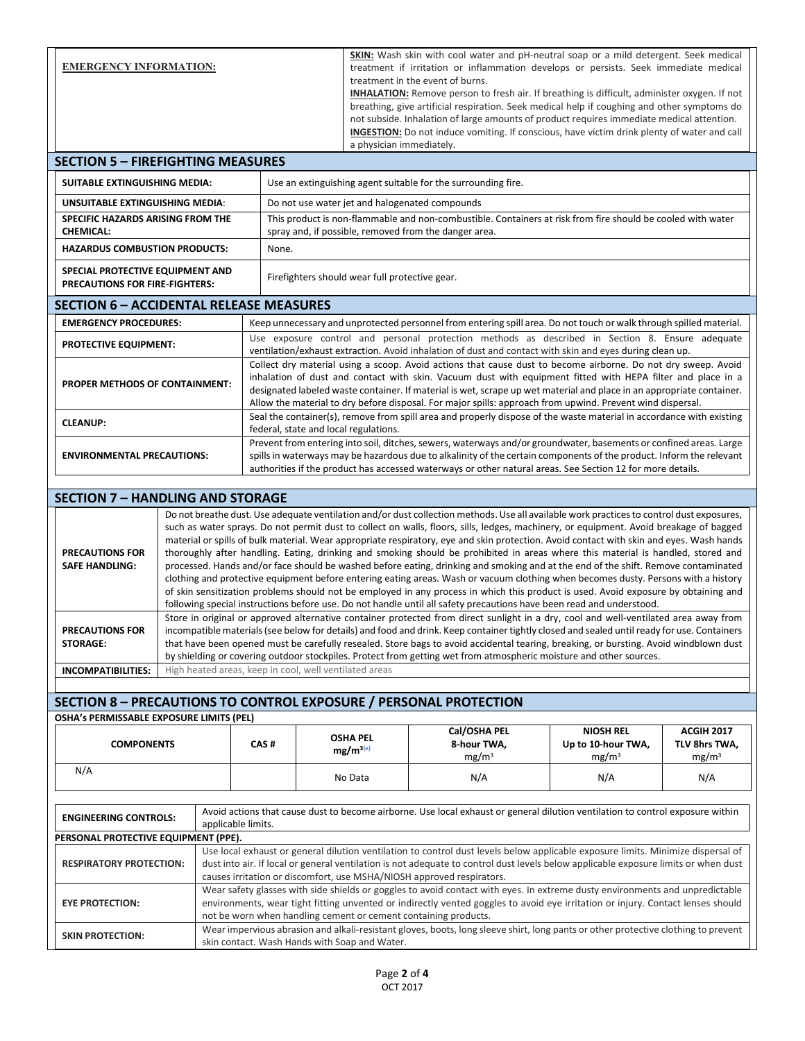| <b>EMERGENCY INFORMATION:</b>                                                                                                                                            |                                                                                                                                                                                                                                                                                                                                                                                                                                                                                                                                                                                                                                                                                                                                                                                                                                                                                                                                                                                        |                                                                                                                                                                                                                                                                                                                                                                                                                                                                                                                                                                                                                                                                            |                                                                                                                                                                                                                                                                                                                                    | <b>SKIN:</b> Wash skin with cool water and pH-neutral soap or a mild detergent. Seek medical<br>treatment if irritation or inflammation develops or persists. Seek immediate medical<br>treatment in the event of burns.<br><b>INHALATION:</b> Remove person to fresh air. If breathing is difficult, administer oxygen. If not<br>breathing, give artificial respiration. Seek medical help if coughing and other symptoms do<br>not subside. Inhalation of large amounts of product requires immediate medical attention.<br><b>INGESTION:</b> Do not induce vomiting. If conscious, have victim drink plenty of water and call |                                                                       |                                                                                                                                     |                                                         |  |  |  |
|--------------------------------------------------------------------------------------------------------------------------------------------------------------------------|----------------------------------------------------------------------------------------------------------------------------------------------------------------------------------------------------------------------------------------------------------------------------------------------------------------------------------------------------------------------------------------------------------------------------------------------------------------------------------------------------------------------------------------------------------------------------------------------------------------------------------------------------------------------------------------------------------------------------------------------------------------------------------------------------------------------------------------------------------------------------------------------------------------------------------------------------------------------------------------|----------------------------------------------------------------------------------------------------------------------------------------------------------------------------------------------------------------------------------------------------------------------------------------------------------------------------------------------------------------------------------------------------------------------------------------------------------------------------------------------------------------------------------------------------------------------------------------------------------------------------------------------------------------------------|------------------------------------------------------------------------------------------------------------------------------------------------------------------------------------------------------------------------------------------------------------------------------------------------------------------------------------|-----------------------------------------------------------------------------------------------------------------------------------------------------------------------------------------------------------------------------------------------------------------------------------------------------------------------------------------------------------------------------------------------------------------------------------------------------------------------------------------------------------------------------------------------------------------------------------------------------------------------------------|-----------------------------------------------------------------------|-------------------------------------------------------------------------------------------------------------------------------------|---------------------------------------------------------|--|--|--|
| <b>SECTION 5 - FIREFIGHTING MEASURES</b>                                                                                                                                 |                                                                                                                                                                                                                                                                                                                                                                                                                                                                                                                                                                                                                                                                                                                                                                                                                                                                                                                                                                                        |                                                                                                                                                                                                                                                                                                                                                                                                                                                                                                                                                                                                                                                                            |                                                                                                                                                                                                                                                                                                                                    | a physician immediately.                                                                                                                                                                                                                                                                                                                                                                                                                                                                                                                                                                                                          |                                                                       |                                                                                                                                     |                                                         |  |  |  |
| SUITABLE EXTINGUISHING MEDIA:                                                                                                                                            |                                                                                                                                                                                                                                                                                                                                                                                                                                                                                                                                                                                                                                                                                                                                                                                                                                                                                                                                                                                        |                                                                                                                                                                                                                                                                                                                                                                                                                                                                                                                                                                                                                                                                            |                                                                                                                                                                                                                                                                                                                                    |                                                                                                                                                                                                                                                                                                                                                                                                                                                                                                                                                                                                                                   |                                                                       |                                                                                                                                     |                                                         |  |  |  |
| <b>UNSUITABLE EXTINGUISHING MEDIA:</b>                                                                                                                                   |                                                                                                                                                                                                                                                                                                                                                                                                                                                                                                                                                                                                                                                                                                                                                                                                                                                                                                                                                                                        | Use an extinguishing agent suitable for the surrounding fire.                                                                                                                                                                                                                                                                                                                                                                                                                                                                                                                                                                                                              |                                                                                                                                                                                                                                                                                                                                    |                                                                                                                                                                                                                                                                                                                                                                                                                                                                                                                                                                                                                                   |                                                                       |                                                                                                                                     |                                                         |  |  |  |
| SPECIFIC HAZARDS ARISING FROM THE                                                                                                                                        |                                                                                                                                                                                                                                                                                                                                                                                                                                                                                                                                                                                                                                                                                                                                                                                                                                                                                                                                                                                        | Do not use water jet and halogenated compounds<br>This product is non-flammable and non-combustible. Containers at risk from fire should be cooled with water                                                                                                                                                                                                                                                                                                                                                                                                                                                                                                              |                                                                                                                                                                                                                                                                                                                                    |                                                                                                                                                                                                                                                                                                                                                                                                                                                                                                                                                                                                                                   |                                                                       |                                                                                                                                     |                                                         |  |  |  |
| <b>CHEMICAL:</b>                                                                                                                                                         |                                                                                                                                                                                                                                                                                                                                                                                                                                                                                                                                                                                                                                                                                                                                                                                                                                                                                                                                                                                        | spray and, if possible, removed from the danger area.                                                                                                                                                                                                                                                                                                                                                                                                                                                                                                                                                                                                                      |                                                                                                                                                                                                                                                                                                                                    |                                                                                                                                                                                                                                                                                                                                                                                                                                                                                                                                                                                                                                   |                                                                       |                                                                                                                                     |                                                         |  |  |  |
| <b>HAZARDUS COMBUSTION PRODUCTS:</b>                                                                                                                                     | None.                                                                                                                                                                                                                                                                                                                                                                                                                                                                                                                                                                                                                                                                                                                                                                                                                                                                                                                                                                                  |                                                                                                                                                                                                                                                                                                                                                                                                                                                                                                                                                                                                                                                                            |                                                                                                                                                                                                                                                                                                                                    |                                                                                                                                                                                                                                                                                                                                                                                                                                                                                                                                                                                                                                   |                                                                       |                                                                                                                                     |                                                         |  |  |  |
| SPECIAL PROTECTIVE EQUIPMENT AND<br>PRECAUTIONS FOR FIRE-FIGHTERS:                                                                                                       |                                                                                                                                                                                                                                                                                                                                                                                                                                                                                                                                                                                                                                                                                                                                                                                                                                                                                                                                                                                        | Firefighters should wear full protective gear.                                                                                                                                                                                                                                                                                                                                                                                                                                                                                                                                                                                                                             |                                                                                                                                                                                                                                                                                                                                    |                                                                                                                                                                                                                                                                                                                                                                                                                                                                                                                                                                                                                                   |                                                                       |                                                                                                                                     |                                                         |  |  |  |
| <b>SECTION 6 - ACCIDENTAL RELEASE MEASURES</b>                                                                                                                           |                                                                                                                                                                                                                                                                                                                                                                                                                                                                                                                                                                                                                                                                                                                                                                                                                                                                                                                                                                                        |                                                                                                                                                                                                                                                                                                                                                                                                                                                                                                                                                                                                                                                                            |                                                                                                                                                                                                                                                                                                                                    |                                                                                                                                                                                                                                                                                                                                                                                                                                                                                                                                                                                                                                   |                                                                       |                                                                                                                                     |                                                         |  |  |  |
| <b>EMERGENCY PROCEDURES:</b>                                                                                                                                             |                                                                                                                                                                                                                                                                                                                                                                                                                                                                                                                                                                                                                                                                                                                                                                                                                                                                                                                                                                                        |                                                                                                                                                                                                                                                                                                                                                                                                                                                                                                                                                                                                                                                                            |                                                                                                                                                                                                                                                                                                                                    |                                                                                                                                                                                                                                                                                                                                                                                                                                                                                                                                                                                                                                   |                                                                       | Keep unnecessary and unprotected personnel from entering spill area. Do not touch or walk through spilled material.                 |                                                         |  |  |  |
| <b>PROTECTIVE EQUIPMENT:</b>                                                                                                                                             |                                                                                                                                                                                                                                                                                                                                                                                                                                                                                                                                                                                                                                                                                                                                                                                                                                                                                                                                                                                        | Use exposure control and personal protection methods as described in Section 8. Ensure adequate<br>ventilation/exhaust extraction. Avoid inhalation of dust and contact with skin and eyes during clean up.                                                                                                                                                                                                                                                                                                                                                                                                                                                                |                                                                                                                                                                                                                                                                                                                                    |                                                                                                                                                                                                                                                                                                                                                                                                                                                                                                                                                                                                                                   |                                                                       |                                                                                                                                     |                                                         |  |  |  |
| PROPER METHODS OF CONTAINMENT:                                                                                                                                           |                                                                                                                                                                                                                                                                                                                                                                                                                                                                                                                                                                                                                                                                                                                                                                                                                                                                                                                                                                                        | Collect dry material using a scoop. Avoid actions that cause dust to become airborne. Do not dry sweep. Avoid<br>inhalation of dust and contact with skin. Vacuum dust with equipment fitted with HEPA filter and place in a<br>designated labeled waste container. If material is wet, scrape up wet material and place in an appropriate container.<br>Allow the material to dry before disposal. For major spills: approach from upwind. Prevent wind dispersal.                                                                                                                                                                                                        |                                                                                                                                                                                                                                                                                                                                    |                                                                                                                                                                                                                                                                                                                                                                                                                                                                                                                                                                                                                                   |                                                                       |                                                                                                                                     |                                                         |  |  |  |
| <b>CLEANUP:</b>                                                                                                                                                          |                                                                                                                                                                                                                                                                                                                                                                                                                                                                                                                                                                                                                                                                                                                                                                                                                                                                                                                                                                                        | Seal the container(s), remove from spill area and properly dispose of the waste material in accordance with existing                                                                                                                                                                                                                                                                                                                                                                                                                                                                                                                                                       |                                                                                                                                                                                                                                                                                                                                    |                                                                                                                                                                                                                                                                                                                                                                                                                                                                                                                                                                                                                                   |                                                                       |                                                                                                                                     |                                                         |  |  |  |
| <b>ENVIRONMENTAL PRECAUTIONS:</b>                                                                                                                                        | federal, state and local regulations.<br>Prevent from entering into soil, ditches, sewers, waterways and/or groundwater, basements or confined areas. Large<br>spills in waterways may be hazardous due to alkalinity of the certain components of the product. Inform the relevant                                                                                                                                                                                                                                                                                                                                                                                                                                                                                                                                                                                                                                                                                                    |                                                                                                                                                                                                                                                                                                                                                                                                                                                                                                                                                                                                                                                                            |                                                                                                                                                                                                                                                                                                                                    |                                                                                                                                                                                                                                                                                                                                                                                                                                                                                                                                                                                                                                   |                                                                       |                                                                                                                                     |                                                         |  |  |  |
|                                                                                                                                                                          |                                                                                                                                                                                                                                                                                                                                                                                                                                                                                                                                                                                                                                                                                                                                                                                                                                                                                                                                                                                        |                                                                                                                                                                                                                                                                                                                                                                                                                                                                                                                                                                                                                                                                            | authorities if the product has accessed waterways or other natural areas. See Section 12 for more details.                                                                                                                                                                                                                         |                                                                                                                                                                                                                                                                                                                                                                                                                                                                                                                                                                                                                                   |                                                                       |                                                                                                                                     |                                                         |  |  |  |
| <b>SECTION 7 - HANDLING AND STORAGE</b>                                                                                                                                  |                                                                                                                                                                                                                                                                                                                                                                                                                                                                                                                                                                                                                                                                                                                                                                                                                                                                                                                                                                                        |                                                                                                                                                                                                                                                                                                                                                                                                                                                                                                                                                                                                                                                                            |                                                                                                                                                                                                                                                                                                                                    |                                                                                                                                                                                                                                                                                                                                                                                                                                                                                                                                                                                                                                   |                                                                       |                                                                                                                                     |                                                         |  |  |  |
| <b>PRECAUTIONS FOR</b><br><b>SAFE HANDLING:</b>                                                                                                                          | Do not breathe dust. Use adequate ventilation and/or dust collection methods. Use all available work practices to control dust exposures,<br>such as water sprays. Do not permit dust to collect on walls, floors, sills, ledges, machinery, or equipment. Avoid breakage of bagged<br>material or spills of bulk material. Wear appropriate respiratory, eye and skin protection. Avoid contact with skin and eyes. Wash hands<br>thoroughly after handling. Eating, drinking and smoking should be prohibited in areas where this material is handled, stored and<br>processed. Hands and/or face should be washed before eating, drinking and smoking and at the end of the shift. Remove contaminated<br>clothing and protective equipment before entering eating areas. Wash or vacuum clothing when becomes dusty. Persons with a history<br>of skin sensitization problems should not be employed in any process in which this product is used. Avoid exposure by obtaining and |                                                                                                                                                                                                                                                                                                                                                                                                                                                                                                                                                                                                                                                                            |                                                                                                                                                                                                                                                                                                                                    |                                                                                                                                                                                                                                                                                                                                                                                                                                                                                                                                                                                                                                   |                                                                       |                                                                                                                                     |                                                         |  |  |  |
| <b>PRECAUTIONS FOR</b><br><b>STORAGE:</b>                                                                                                                                |                                                                                                                                                                                                                                                                                                                                                                                                                                                                                                                                                                                                                                                                                                                                                                                                                                                                                                                                                                                        | following special instructions before use. Do not handle until all safety precautions have been read and understood.<br>Store in original or approved alternative container protected from direct sunlight in a dry, cool and well-ventilated area away from<br>incompatible materials (see below for details) and food and drink. Keep container tightly closed and sealed until ready for use. Containers<br>that have been opened must be carefully resealed. Store bags to avoid accidental tearing, breaking, or bursting. Avoid windblown dust<br>by shielding or covering outdoor stockpiles. Protect from getting wet from atmospheric moisture and other sources. |                                                                                                                                                                                                                                                                                                                                    |                                                                                                                                                                                                                                                                                                                                                                                                                                                                                                                                                                                                                                   |                                                                       |                                                                                                                                     |                                                         |  |  |  |
| <b>INCOMPATIBILITIES:</b>                                                                                                                                                | High heated areas, keep in cool, well ventilated areas                                                                                                                                                                                                                                                                                                                                                                                                                                                                                                                                                                                                                                                                                                                                                                                                                                                                                                                                 |                                                                                                                                                                                                                                                                                                                                                                                                                                                                                                                                                                                                                                                                            |                                                                                                                                                                                                                                                                                                                                    |                                                                                                                                                                                                                                                                                                                                                                                                                                                                                                                                                                                                                                   |                                                                       |                                                                                                                                     |                                                         |  |  |  |
| <b>SECTION 8 - PRECAUTIONS TO CONTROL EXPOSURE / PERSONAL PROTECTION</b>                                                                                                 |                                                                                                                                                                                                                                                                                                                                                                                                                                                                                                                                                                                                                                                                                                                                                                                                                                                                                                                                                                                        |                                                                                                                                                                                                                                                                                                                                                                                                                                                                                                                                                                                                                                                                            |                                                                                                                                                                                                                                                                                                                                    |                                                                                                                                                                                                                                                                                                                                                                                                                                                                                                                                                                                                                                   |                                                                       |                                                                                                                                     |                                                         |  |  |  |
| OSHA's PERMISSABLE EXPOSURE LIMITS (PEL)                                                                                                                                 |                                                                                                                                                                                                                                                                                                                                                                                                                                                                                                                                                                                                                                                                                                                                                                                                                                                                                                                                                                                        |                                                                                                                                                                                                                                                                                                                                                                                                                                                                                                                                                                                                                                                                            |                                                                                                                                                                                                                                                                                                                                    |                                                                                                                                                                                                                                                                                                                                                                                                                                                                                                                                                                                                                                   |                                                                       |                                                                                                                                     |                                                         |  |  |  |
| <b>COMPONENTS</b>                                                                                                                                                        |                                                                                                                                                                                                                                                                                                                                                                                                                                                                                                                                                                                                                                                                                                                                                                                                                                                                                                                                                                                        | CAS#                                                                                                                                                                                                                                                                                                                                                                                                                                                                                                                                                                                                                                                                       | <b>OSHA PEL</b><br>$mg/m^{3(e)}$                                                                                                                                                                                                                                                                                                   |                                                                                                                                                                                                                                                                                                                                                                                                                                                                                                                                                                                                                                   | Cal/OSHA PEL<br>8-hour TWA,<br>mg/m <sup>3</sup>                      | <b>NIOSH REL</b><br>Up to 10-hour TWA,<br>mg/m <sup>3</sup>                                                                         | <b>ACGIH 2017</b><br>TLV 8hrs TWA,<br>mg/m <sup>3</sup> |  |  |  |
| N/A                                                                                                                                                                      |                                                                                                                                                                                                                                                                                                                                                                                                                                                                                                                                                                                                                                                                                                                                                                                                                                                                                                                                                                                        |                                                                                                                                                                                                                                                                                                                                                                                                                                                                                                                                                                                                                                                                            | No Data                                                                                                                                                                                                                                                                                                                            |                                                                                                                                                                                                                                                                                                                                                                                                                                                                                                                                                                                                                                   | N/A                                                                   | N/A                                                                                                                                 | N/A                                                     |  |  |  |
| <b>ENGINEERING CONTROLS:</b>                                                                                                                                             | Avoid actions that cause dust to become airborne. Use local exhaust or general dilution ventilation to control exposure within<br>applicable limits.                                                                                                                                                                                                                                                                                                                                                                                                                                                                                                                                                                                                                                                                                                                                                                                                                                   |                                                                                                                                                                                                                                                                                                                                                                                                                                                                                                                                                                                                                                                                            |                                                                                                                                                                                                                                                                                                                                    |                                                                                                                                                                                                                                                                                                                                                                                                                                                                                                                                                                                                                                   |                                                                       |                                                                                                                                     |                                                         |  |  |  |
| PERSONAL PROTECTIVE EQUIPMENT (PPE).<br>Use local exhaust or general dilution ventilation to control dust levels below applicable exposure limits. Minimize dispersal of |                                                                                                                                                                                                                                                                                                                                                                                                                                                                                                                                                                                                                                                                                                                                                                                                                                                                                                                                                                                        |                                                                                                                                                                                                                                                                                                                                                                                                                                                                                                                                                                                                                                                                            |                                                                                                                                                                                                                                                                                                                                    |                                                                                                                                                                                                                                                                                                                                                                                                                                                                                                                                                                                                                                   |                                                                       |                                                                                                                                     |                                                         |  |  |  |
| <b>RESPIRATORY PROTECTION:</b>                                                                                                                                           |                                                                                                                                                                                                                                                                                                                                                                                                                                                                                                                                                                                                                                                                                                                                                                                                                                                                                                                                                                                        |                                                                                                                                                                                                                                                                                                                                                                                                                                                                                                                                                                                                                                                                            |                                                                                                                                                                                                                                                                                                                                    |                                                                                                                                                                                                                                                                                                                                                                                                                                                                                                                                                                                                                                   | causes irritation or discomfort, use MSHA/NIOSH approved respirators. | dust into air. If local or general ventilation is not adequate to control dust levels below applicable exposure limits or when dust |                                                         |  |  |  |
| <b>EYE PROTECTION:</b>                                                                                                                                                   |                                                                                                                                                                                                                                                                                                                                                                                                                                                                                                                                                                                                                                                                                                                                                                                                                                                                                                                                                                                        |                                                                                                                                                                                                                                                                                                                                                                                                                                                                                                                                                                                                                                                                            | Wear safety glasses with side shields or goggles to avoid contact with eyes. In extreme dusty environments and unpredictable<br>environments, wear tight fitting unvented or indirectly vented goggles to avoid eye irritation or injury. Contact lenses should<br>not be worn when handling cement or cement containing products. |                                                                                                                                                                                                                                                                                                                                                                                                                                                                                                                                                                                                                                   |                                                                       |                                                                                                                                     |                                                         |  |  |  |
| <b>SKIN PROTECTION:</b>                                                                                                                                                  |                                                                                                                                                                                                                                                                                                                                                                                                                                                                                                                                                                                                                                                                                                                                                                                                                                                                                                                                                                                        | Wear impervious abrasion and alkali-resistant gloves, boots, long sleeve shirt, long pants or other protective clothing to prevent<br>skin contact. Wash Hands with Soap and Water.                                                                                                                                                                                                                                                                                                                                                                                                                                                                                        |                                                                                                                                                                                                                                                                                                                                    |                                                                                                                                                                                                                                                                                                                                                                                                                                                                                                                                                                                                                                   |                                                                       |                                                                                                                                     |                                                         |  |  |  |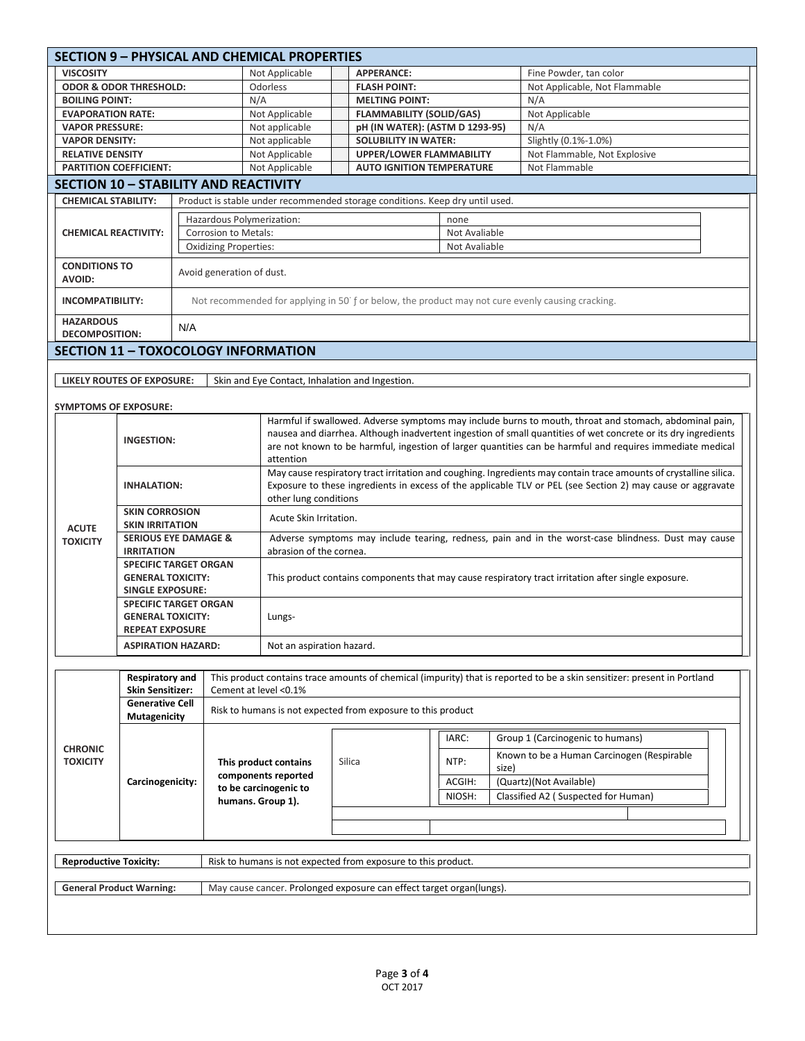| <b>SECTION 9 - PHYSICAL AND CHEMICAL PROPERTIES</b> |                                                      |                       |                                                                                                                          |                                                                                                                                                                                                                             |                                 |                                                                      |        |       |                                                                                                  |  |  |
|-----------------------------------------------------|------------------------------------------------------|-----------------------|--------------------------------------------------------------------------------------------------------------------------|-----------------------------------------------------------------------------------------------------------------------------------------------------------------------------------------------------------------------------|---------------------------------|----------------------------------------------------------------------|--------|-------|--------------------------------------------------------------------------------------------------|--|--|
| <b>VISCOSITY</b>                                    |                                                      |                       |                                                                                                                          | Not Applicable                                                                                                                                                                                                              |                                 | <b>APPERANCE:</b>                                                    |        |       | Fine Powder, tan color                                                                           |  |  |
|                                                     | <b>ODOR &amp; ODOR THRESHOLD:</b>                    |                       |                                                                                                                          | Odorless                                                                                                                                                                                                                    |                                 | <b>FLASH POINT:</b>                                                  |        |       | Not Applicable, Not Flammable                                                                    |  |  |
| <b>BOILING POINT:</b>                               |                                                      | N/A                   |                                                                                                                          | <b>MELTING POINT:</b>                                                                                                                                                                                                       |                                 |                                                                      |        | N/A   |                                                                                                  |  |  |
|                                                     | <b>EVAPORATION RATE:</b>                             |                       |                                                                                                                          | Not Applicable                                                                                                                                                                                                              |                                 | <b>FLAMMABILITY (SOLID/GAS)</b>                                      |        |       | Not Applicable                                                                                   |  |  |
| <b>VAPOR PRESSURE:</b>                              |                                                      |                       |                                                                                                                          | Not applicable                                                                                                                                                                                                              |                                 | pH (IN WATER): (ASTM D 1293-95)                                      |        |       | N/A                                                                                              |  |  |
| <b>VAPOR DENSITY:</b>                               |                                                      |                       |                                                                                                                          | Not applicable                                                                                                                                                                                                              |                                 | <b>SOLUBILITY IN WATER:</b>                                          |        |       | Slightly (0.1%-1.0%)                                                                             |  |  |
|                                                     | <b>RELATIVE DENSITY</b>                              |                       |                                                                                                                          | Not Applicable                                                                                                                                                                                                              | <b>UPPER/LOWER FLAMMABILITY</b> |                                                                      |        |       | Not Flammable, Not Explosive                                                                     |  |  |
|                                                     | <b>PARTITION COEFFICIENT:</b>                        |                       |                                                                                                                          | Not Applicable                                                                                                                                                                                                              |                                 | <b>AUTO IGNITION TEMPERATURE</b>                                     |        |       | Not Flammable                                                                                    |  |  |
| <b>SECTION 10 - STABILITY AND REACTIVITY</b>        |                                                      |                       |                                                                                                                          |                                                                                                                                                                                                                             |                                 |                                                                      |        |       |                                                                                                  |  |  |
|                                                     | <b>CHEMICAL STABILITY:</b>                           |                       |                                                                                                                          | Product is stable under recommended storage conditions. Keep dry until used.                                                                                                                                                |                                 |                                                                      |        |       |                                                                                                  |  |  |
| <b>CHEMICAL REACTIVITY:</b>                         |                                                      |                       | Hazardous Polymerization:<br>none                                                                                        |                                                                                                                                                                                                                             |                                 |                                                                      |        |       |                                                                                                  |  |  |
|                                                     |                                                      |                       | Corrosion to Metals:                                                                                                     |                                                                                                                                                                                                                             |                                 |                                                                      |        |       |                                                                                                  |  |  |
|                                                     |                                                      |                       | <b>Oxidizing Properties:</b><br>Not Avaliable                                                                            |                                                                                                                                                                                                                             |                                 |                                                                      |        |       |                                                                                                  |  |  |
|                                                     | <b>CONDITIONS TO</b>                                 |                       |                                                                                                                          |                                                                                                                                                                                                                             |                                 |                                                                      |        |       |                                                                                                  |  |  |
| <b>AVOID:</b>                                       |                                                      |                       | Avoid generation of dust.                                                                                                |                                                                                                                                                                                                                             |                                 |                                                                      |        |       |                                                                                                  |  |  |
|                                                     |                                                      |                       |                                                                                                                          |                                                                                                                                                                                                                             |                                 |                                                                      |        |       |                                                                                                  |  |  |
| <b>INCOMPATIBILITY:</b>                             |                                                      |                       |                                                                                                                          |                                                                                                                                                                                                                             |                                 |                                                                      |        |       | Not recommended for applying in 50 f or below, the product may not cure evenly causing cracking. |  |  |
| <b>HAZARDOUS</b>                                    |                                                      | N/A                   |                                                                                                                          |                                                                                                                                                                                                                             |                                 |                                                                      |        |       |                                                                                                  |  |  |
| <b>DECOMPOSITION:</b>                               |                                                      |                       |                                                                                                                          |                                                                                                                                                                                                                             |                                 |                                                                      |        |       |                                                                                                  |  |  |
| <b>SECTION 11 - TOXOCOLOGY INFORMATION</b>          |                                                      |                       |                                                                                                                          |                                                                                                                                                                                                                             |                                 |                                                                      |        |       |                                                                                                  |  |  |
|                                                     |                                                      |                       |                                                                                                                          |                                                                                                                                                                                                                             |                                 |                                                                      |        |       |                                                                                                  |  |  |
|                                                     | LIKELY ROUTES OF EXPOSURE:                           |                       |                                                                                                                          | Skin and Eye Contact, Inhalation and Ingestion.                                                                                                                                                                             |                                 |                                                                      |        |       |                                                                                                  |  |  |
|                                                     |                                                      |                       |                                                                                                                          |                                                                                                                                                                                                                             |                                 |                                                                      |        |       |                                                                                                  |  |  |
| <b>SYMPTOMS OF EXPOSURE:</b>                        |                                                      |                       |                                                                                                                          |                                                                                                                                                                                                                             |                                 |                                                                      |        |       |                                                                                                  |  |  |
|                                                     |                                                      |                       |                                                                                                                          | Harmful if swallowed. Adverse symptoms may include burns to mouth, throat and stomach, abdominal pain,                                                                                                                      |                                 |                                                                      |        |       |                                                                                                  |  |  |
|                                                     | <b>INGESTION:</b>                                    |                       |                                                                                                                          | nausea and diarrhea. Although inadvertent ingestion of small quantities of wet concrete or its dry ingredients<br>are not known to be harmful, ingestion of larger quantities can be harmful and requires immediate medical |                                 |                                                                      |        |       |                                                                                                  |  |  |
|                                                     |                                                      |                       |                                                                                                                          | attention                                                                                                                                                                                                                   |                                 |                                                                      |        |       |                                                                                                  |  |  |
|                                                     |                                                      |                       |                                                                                                                          | May cause respiratory tract irritation and coughing. Ingredients may contain trace amounts of crystalline silica.                                                                                                           |                                 |                                                                      |        |       |                                                                                                  |  |  |
|                                                     |                                                      | <b>INHALATION:</b>    |                                                                                                                          | Exposure to these ingredients in excess of the applicable TLV or PEL (see Section 2) may cause or aggravate                                                                                                                 |                                 |                                                                      |        |       |                                                                                                  |  |  |
|                                                     |                                                      |                       |                                                                                                                          | other lung conditions                                                                                                                                                                                                       |                                 |                                                                      |        |       |                                                                                                  |  |  |
|                                                     |                                                      | <b>SKIN CORROSION</b> |                                                                                                                          | Acute Skin Irritation.                                                                                                                                                                                                      |                                 |                                                                      |        |       |                                                                                                  |  |  |
| <b>SKIN IRRITATION</b><br><b>ACUTE</b>              |                                                      |                       |                                                                                                                          |                                                                                                                                                                                                                             |                                 |                                                                      |        |       |                                                                                                  |  |  |
| <b>TOXICITY</b>                                     | <b>SERIOUS EYE DAMAGE &amp;</b><br><b>IRRITATION</b> |                       |                                                                                                                          | Adverse symptoms may include tearing, redness, pain and in the worst-case blindness. Dust may cause<br>abrasion of the cornea.                                                                                              |                                 |                                                                      |        |       |                                                                                                  |  |  |
|                                                     | <b>SPECIFIC TARGET ORGAN</b>                         |                       |                                                                                                                          |                                                                                                                                                                                                                             |                                 |                                                                      |        |       |                                                                                                  |  |  |
|                                                     | <b>GENERAL TOXICITY:</b>                             |                       |                                                                                                                          | This product contains components that may cause respiratory tract irritation after single exposure.                                                                                                                         |                                 |                                                                      |        |       |                                                                                                  |  |  |
|                                                     | <b>SINGLE EXPOSURE:</b>                              |                       |                                                                                                                          |                                                                                                                                                                                                                             |                                 |                                                                      |        |       |                                                                                                  |  |  |
|                                                     | <b>SPECIFIC TARGET ORGAN</b>                         |                       |                                                                                                                          |                                                                                                                                                                                                                             |                                 |                                                                      |        |       |                                                                                                  |  |  |
|                                                     | <b>GENERAL TOXICITY:</b>                             |                       |                                                                                                                          | Lungs-                                                                                                                                                                                                                      |                                 |                                                                      |        |       |                                                                                                  |  |  |
|                                                     | <b>REPEAT EXPOSURE</b>                               |                       |                                                                                                                          |                                                                                                                                                                                                                             |                                 |                                                                      |        |       |                                                                                                  |  |  |
|                                                     | <b>ASPIRATION HAZARD:</b>                            |                       |                                                                                                                          |                                                                                                                                                                                                                             | Not an aspiration hazard.       |                                                                      |        |       |                                                                                                  |  |  |
|                                                     |                                                      |                       |                                                                                                                          |                                                                                                                                                                                                                             |                                 |                                                                      |        |       |                                                                                                  |  |  |
|                                                     | <b>Respiratory and</b>                               |                       | This product contains trace amounts of chemical (impurity) that is reported to be a skin sensitizer: present in Portland |                                                                                                                                                                                                                             |                                 |                                                                      |        |       |                                                                                                  |  |  |
|                                                     | <b>Skin Sensitizer:</b>                              |                       |                                                                                                                          | Cement at level <0.1%                                                                                                                                                                                                       |                                 |                                                                      |        |       |                                                                                                  |  |  |
|                                                     | <b>Generative Cell</b>                               |                       |                                                                                                                          |                                                                                                                                                                                                                             |                                 | Risk to humans is not expected from exposure to this product         |        |       |                                                                                                  |  |  |
| <b>CHRONIC</b>                                      | Mutagenicity                                         |                       |                                                                                                                          |                                                                                                                                                                                                                             |                                 |                                                                      |        |       |                                                                                                  |  |  |
|                                                     | Carcinogenicity:                                     |                       |                                                                                                                          | This product contains<br>components reported                                                                                                                                                                                |                                 |                                                                      | IARC:  |       | Group 1 (Carcinogenic to humans)                                                                 |  |  |
|                                                     |                                                      |                       |                                                                                                                          |                                                                                                                                                                                                                             |                                 | Silica                                                               |        |       | Known to be a Human Carcinogen (Respirable                                                       |  |  |
| <b>TOXICITY</b>                                     |                                                      |                       |                                                                                                                          |                                                                                                                                                                                                                             |                                 |                                                                      | NTP:   | size) |                                                                                                  |  |  |
|                                                     |                                                      |                       |                                                                                                                          |                                                                                                                                                                                                                             |                                 |                                                                      | ACGIH: |       | (Quartz)(Not Available)                                                                          |  |  |
|                                                     |                                                      |                       | to be carcinogenic to<br>humans. Group 1).                                                                               |                                                                                                                                                                                                                             |                                 |                                                                      | NIOSH: |       | Classified A2 (Suspected for Human)                                                              |  |  |
|                                                     |                                                      |                       |                                                                                                                          |                                                                                                                                                                                                                             |                                 |                                                                      |        |       |                                                                                                  |  |  |
|                                                     |                                                      |                       |                                                                                                                          |                                                                                                                                                                                                                             |                                 |                                                                      |        |       |                                                                                                  |  |  |
|                                                     |                                                      |                       |                                                                                                                          |                                                                                                                                                                                                                             |                                 |                                                                      |        |       |                                                                                                  |  |  |
| <b>Reproductive Toxicity:</b>                       |                                                      |                       | Risk to humans is not expected from exposure to this product.                                                            |                                                                                                                                                                                                                             |                                 |                                                                      |        |       |                                                                                                  |  |  |
|                                                     |                                                      |                       |                                                                                                                          |                                                                                                                                                                                                                             |                                 |                                                                      |        |       |                                                                                                  |  |  |
|                                                     | <b>General Product Warning:</b>                      |                       |                                                                                                                          |                                                                                                                                                                                                                             |                                 | May cause cancer. Prolonged exposure can effect target organ(lungs). |        |       |                                                                                                  |  |  |
|                                                     |                                                      |                       |                                                                                                                          |                                                                                                                                                                                                                             |                                 |                                                                      |        |       |                                                                                                  |  |  |
|                                                     |                                                      |                       |                                                                                                                          |                                                                                                                                                                                                                             |                                 |                                                                      |        |       |                                                                                                  |  |  |